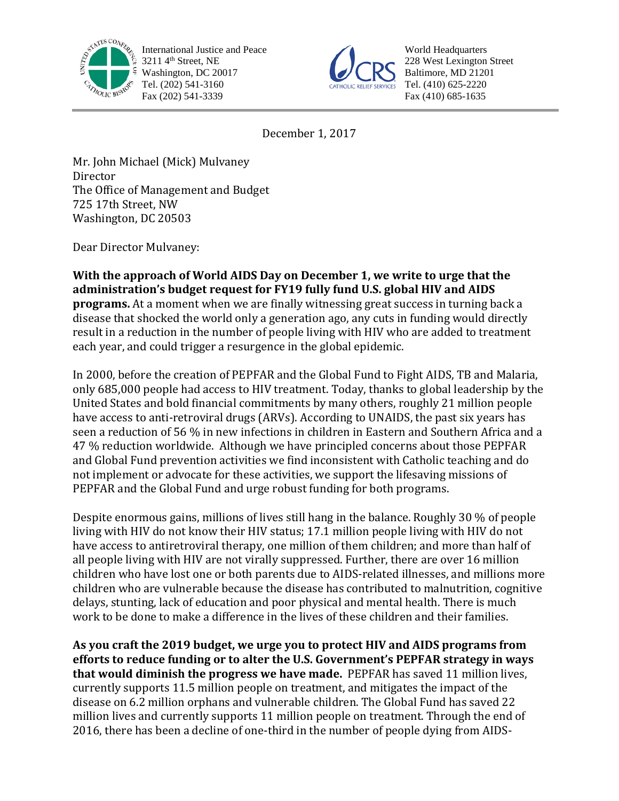

International Justice and Peace 3211 4<sup>th</sup> Street, NE Washington, DC 20017 Tel. (202) 541-3160 Fax (202) 541-3339



World Headquarters 228 West Lexington Street Baltimore, MD 21201 Tel. (410) 625-2220 Fax (410) 685-1635

December 1, 2017

Mr. John Michael (Mick) Mulvaney Director The Office of Management and Budget 725 17th Street, NW Washington, DC 20503

Dear Director Mulvaney:

**With the approach of World AIDS Day on December 1, we write to urge that the administration's budget request for FY19 fully fund U.S. global HIV and AIDS programs.** At a moment when we are finally witnessing great success in turning back a disease that shocked the world only a generation ago, any cuts in funding would directly result in a reduction in the number of people living with HIV who are added to treatment each year, and could trigger a resurgence in the global epidemic.

In 2000, before the creation of PEPFAR and the Global Fund to Fight AIDS, TB and Malaria, only 685,000 people had access to HIV treatment. Today, thanks to global leadership by the United States and bold financial commitments by many others, roughly 21 million people have access to anti-retroviral drugs (ARVs). According to UNAIDS, the past six years has seen a reduction of 56 % in new infections in children in Eastern and Southern Africa and a 47 % reduction worldwide. Although we have principled concerns about those PEPFAR and Global Fund prevention activities we find inconsistent with Catholic teaching and do not implement or advocate for these activities, we support the lifesaving missions of PEPFAR and the Global Fund and urge robust funding for both programs.

Despite enormous gains, millions of lives still hang in the balance. Roughly 30 % of people living with HIV do not know their HIV status; 17.1 million people living with HIV do not have access to antiretroviral therapy, one million of them children; and more than half of all people living with HIV are not virally suppressed. Further, there are over 16 million children who have lost one or both parents due to AIDS-related illnesses, and millions more children who are vulnerable because the disease has contributed to malnutrition, cognitive delays, stunting, lack of education and poor physical and mental health. There is much work to be done to make a difference in the lives of these children and their families.

**As you craft the 2019 budget, we urge you to protect HIV and AIDS programs from efforts to reduce funding or to alter the U.S. Government's PEPFAR strategy in ways that would diminish the progress we have made.** PEPFAR has saved 11 million lives, currently supports 11.5 million people on treatment, and mitigates the impact of the disease on 6.2 million orphans and vulnerable children. The Global Fund has saved 22 million lives and currently supports 11 million people on treatment. Through the end of 2016, there has been a decline of one-third in the number of people dying from AIDS-